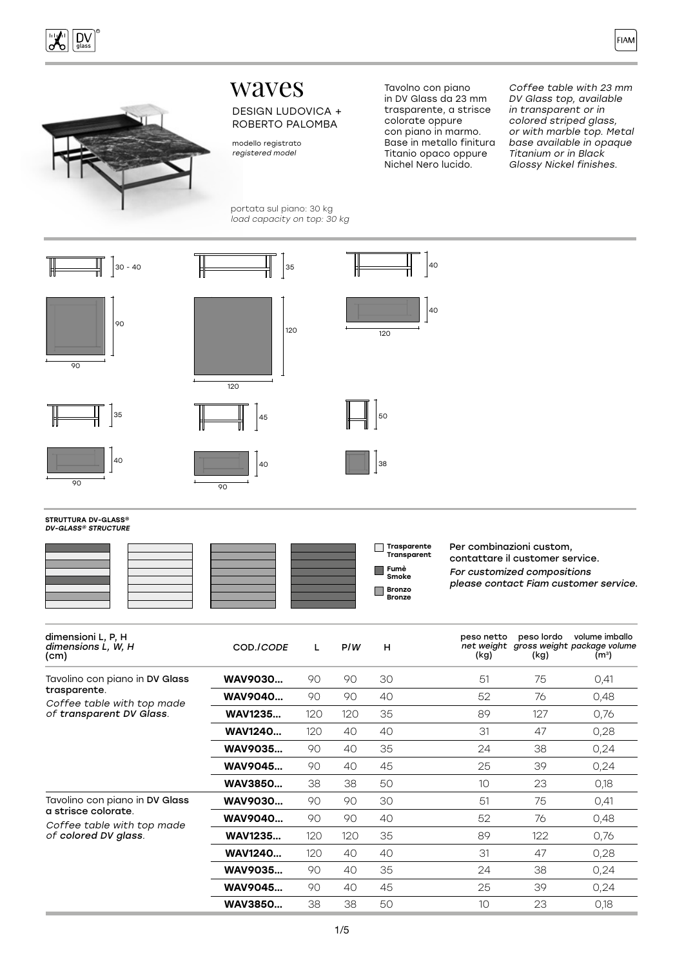





# waves

#### DESIGN LUDOVICA + ROBERTO PALOMBA

modello registrato registered model

portata sul piano: 30 kg load capacity on top: 30 kg

Tavolno con piano in DV Glass da 23 mm trasparente, a strisce colorate oppure con piano in marmo. Base in metallo finitura Titanio opaco oppure Nichel Nero lucido.

Coffee table with 23 mm DV Glass top, available in transparent or in colored striped glass, or with marble top. Metal base available in opaque Titanium or in Black Glossy Nickel finishes.



#### STRUTTURA DV-GLASS® DV-GLASS® STRUCTURE



| dimensioni L, P, H<br>dimensions L, W, H<br>(cm)                                                         | COD./CODE      | L   | P/W | н  | peso netto<br>(kg) | peso lordo<br>(kg) | volume imballo<br>net weight gross weight package volume<br>(m <sup>3</sup> ) |
|----------------------------------------------------------------------------------------------------------|----------------|-----|-----|----|--------------------|--------------------|-------------------------------------------------------------------------------|
| Tavolino con piano in DV Glass<br>trasparente.<br>Coffee table with top made<br>of transparent DV Glass. | WAV9030        | 90  | 90  | 30 | 51                 | 75                 | O,41                                                                          |
|                                                                                                          | <b>WAV9040</b> | 90  | 90  | 40 | 52                 | 76                 | 0,48                                                                          |
|                                                                                                          | <b>WAV1235</b> | 120 | 120 | 35 | 89                 | 127                | 0,76                                                                          |
|                                                                                                          | <b>WAV1240</b> | 120 | 40  | 40 | 31                 | 47                 | 0,28                                                                          |
|                                                                                                          | WAV9035        | 90  | 40  | 35 | 24                 | 38                 | 0,24                                                                          |
|                                                                                                          | WAV9045        | 90  | 40  | 45 | 25                 | 39                 | 0,24                                                                          |
|                                                                                                          | <b>WAV3850</b> | 38  | 38  | 50 | 10 <sup>°</sup>    | 23                 | 0,18                                                                          |
| Tavolino con piano in DV Glass                                                                           | WAV9030        | 90  | 90  | 30 | 51                 | 75                 | 0,41                                                                          |
| a strisce colorate.<br>Coffee table with top made<br>of colored DV glass.                                | <b>WAV9040</b> | 90  | 90  | 40 | 52                 | 76                 | 0,48                                                                          |
|                                                                                                          | <b>WAV1235</b> | 120 | 120 | 35 | 89                 | 122                | 0,76                                                                          |
|                                                                                                          | <b>WAV1240</b> | 120 | 40  | 40 | 31                 | 47                 | 0,28                                                                          |
|                                                                                                          | WAV9035        | 90  | 40  | 35 | 24                 | 38                 | 0,24                                                                          |
|                                                                                                          | <b>WAV9045</b> | 90  | 40  | 45 | 25                 | 39                 | 0,24                                                                          |
|                                                                                                          | <b>WAV3850</b> | 38  | 38  | 50 | 10 <sup>°</sup>    | 23                 | 0,18                                                                          |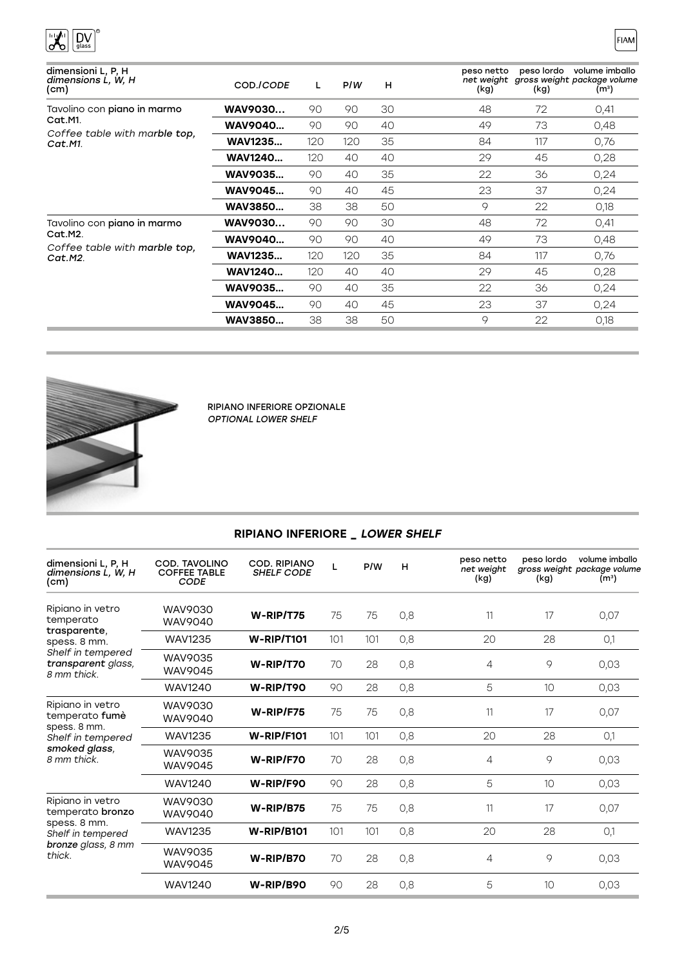

| dimensioni L, P, H<br>dimensions L, W, H<br>(cm)                                          | COD./CODE      | L   | P/W | H  | peso netto<br>(kg) | peso lordo<br>(kg) | volume imballo<br>net weight gross weight package volume<br>(m <sup>3</sup> ) |
|-------------------------------------------------------------------------------------------|----------------|-----|-----|----|--------------------|--------------------|-------------------------------------------------------------------------------|
| Tavolino con piano in marmo<br>Cat.M1.<br>Coffee table with marble top.<br>Cat.M1.        | WAV9030        | 90  | 90  | 30 | 48                 | 72                 | 0,41                                                                          |
|                                                                                           | WAV9040        | 90  | 90  | 40 | 49                 | 73                 | 0,48                                                                          |
|                                                                                           | <b>WAV1235</b> | 120 | 120 | 35 | 84                 | 117                | 0.76                                                                          |
|                                                                                           | <b>WAV1240</b> | 120 | 40  | 40 | 29                 | 45                 | 0,28                                                                          |
|                                                                                           | WAV9035        | 90  | 40  | 35 | 22                 | 36                 | 0,24                                                                          |
|                                                                                           | <b>WAV9045</b> | 90  | 40  | 45 | 23                 | 37                 | 0,24                                                                          |
|                                                                                           | <b>WAV3850</b> | 38  | 38  | 50 | 9                  | 22                 | 0,18                                                                          |
| Tavolino con <b>piano in marmo</b><br>Cat.M2.<br>Coffee table with marble top,<br>Cat.M2. | WAV9030        | 90  | 90  | 30 | 48                 | 72                 | 0,41                                                                          |
|                                                                                           | WAV9040        | 90  | 90  | 40 | 49                 | 73                 | 0,48                                                                          |
|                                                                                           | <b>WAV1235</b> | 120 | 120 | 35 | 84                 | 117                | 0.76                                                                          |
|                                                                                           | <b>WAV1240</b> | 120 | 40  | 40 | 29                 | 45                 | 0,28                                                                          |
|                                                                                           | WAV9035        | 90  | 40  | 35 | 22                 | 36                 | 0,24                                                                          |
|                                                                                           | <b>WAV9045</b> | 90  | 40  | 45 | 23                 | 37                 | 0,24                                                                          |
|                                                                                           | <b>WAV3850</b> | 38  | 38  | 50 | 9                  | 22                 | 0.18                                                                          |



RIPIANO INFERIORE OPZIONALE OPTIONAL LOWER SHELF

## RIPIANO INFERIORE \_ LOWER SHELF

| dimensioni L, P, H<br>dimensions L, W, H<br>(cm)                                                                        | <b>COD. TAVOLINO</b><br><b>COFFEE TABLE</b><br><b>CODE</b> | <b>COD. RIPIANO</b><br><b>SHELF CODE</b> | L   | P/W | н   | peso netto<br>net weight<br>(kg) | peso lordo<br>(kg) | volume imballo<br>gross weight package volume<br>(m <sup>3</sup> ) |
|-------------------------------------------------------------------------------------------------------------------------|------------------------------------------------------------|------------------------------------------|-----|-----|-----|----------------------------------|--------------------|--------------------------------------------------------------------|
| Ripiano in vetro<br>temperato<br>trasparente,<br>spess. 8 mm.<br>Shelf in tempered<br>transparent glass,<br>8 mm thick. | WAV9030<br><b>WAV9040</b>                                  | $W-RIP/T75$                              | 75  | 75  | 0,8 | 11                               | 17                 | 0,07                                                               |
|                                                                                                                         | <b>WAV1235</b>                                             | <b>W-RIP/T101</b>                        | 101 | 101 | 0,8 | 20                               | 28                 | O,1                                                                |
|                                                                                                                         | <b>WAV9035</b><br>WAV9045                                  | W-RIP/T70                                | 70  | 28  | 0,8 | 4                                | 9                  | 0,03                                                               |
|                                                                                                                         | <b>WAV1240</b>                                             | W-RIP/T90                                | 90  | 28  | 0,8 | 5                                | 10                 | 0,03                                                               |
| Ripiano in vetro<br>temperato fumè<br>spess. 8 mm.<br>Shelf in tempered<br>smoked glass,<br>8 mm thick.                 | WAV9030<br>WAV9040                                         | $W$ -RIP/F75                             | 75  | 75  | 0,8 | 11                               | 17                 | 0,07                                                               |
|                                                                                                                         | <b>WAV1235</b>                                             | <b>W-RIP/F101</b>                        | 101 | 101 | 0,8 | 20                               | 28                 | O,1                                                                |
|                                                                                                                         | WAV9035<br><b>WAV9045</b>                                  | W-RIP/F70                                | 70  | 28  | 0,8 | 4                                | 9                  | 0,03                                                               |
|                                                                                                                         | <b>WAV1240</b>                                             | W-RIP/F90                                | 90  | 28  | 0,8 | 5                                | 10                 | 0,03                                                               |
| Ripiano in vetro<br>temperato bronzo<br>spess. 8 mm.<br>Shelf in tempered<br>bronze glass, 8 mm<br>thick.               | WAV9030<br><b>WAV9040</b>                                  | W-RIP/B75                                | 75  | 75  | 0,8 | 11                               | 17                 | 0,07                                                               |
|                                                                                                                         | <b>WAV1235</b>                                             | <b>W-RIP/B101</b>                        | 101 | 101 | 0,8 | 20                               | 28                 | O,1                                                                |
|                                                                                                                         | WAV9035<br>WAV9045                                         | W-RIP/B70                                | 70  | 28  | 0,8 | 4                                | 9                  | 0,03                                                               |
|                                                                                                                         | <b>WAV1240</b>                                             | W-RIP/B90                                | 90  | 28  | 0,8 | 5                                | 10                 | 0,03                                                               |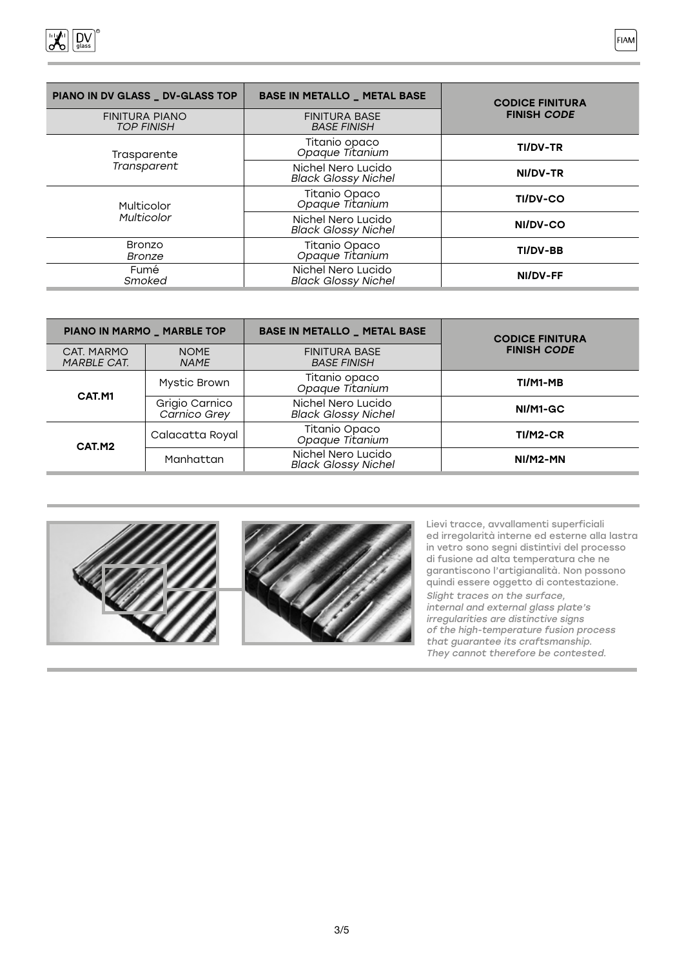

| PIANO IN DV GLASS _ DV-GLASS TOP           | <b>BASE IN METALLO _ METAL BASE</b>              | <b>CODICE FINITURA</b> |  |  |
|--------------------------------------------|--------------------------------------------------|------------------------|--|--|
| <b>FINITURA PIANO</b><br><b>TOP FINISH</b> | <b>FINITURA BASE</b><br><b>BASE FINISH</b>       | <b>FINISH CODE</b>     |  |  |
| Trasparente                                | Titanio opaco<br><i>Opaque Titanium</i>          | <b>TI/DV-TR</b>        |  |  |
| Transparent                                | Nichel Nero Lucido<br><b>Black Glossy Nichel</b> | NI/DV-TR               |  |  |
| Multicolor<br><b>Multicolor</b>            | Titanio Opaco<br>Opaque Titanium                 | <b>TI/DV-CO</b>        |  |  |
|                                            | Nichel Nero Lucido<br><b>Black Glossy Nichel</b> | NI/DV-CO               |  |  |
| <b>Bronzo</b><br><b>Bronze</b>             | Titanio Opaco<br>Opaque Titanium                 | TI/DV-BB               |  |  |
| Fumé<br>Smoked                             | Nichel Nero Lucido<br><b>Black Glossy Nichel</b> | NI/DV-FF               |  |  |

| PIANO IN MARMO _ MARBLE TOP      |                                                         | <b>BASE IN METALLO _ METAL BASE</b>              | <b>CODICE FINITURA</b> |  |
|----------------------------------|---------------------------------------------------------|--------------------------------------------------|------------------------|--|
| CAT. MARMO<br><b>MARBLE CAT.</b> | <b>NOME</b><br><b>NAME</b>                              | <b>FINITURA BASE</b><br><b>BASE FINISH</b>       | <b>FINISH CODE</b>     |  |
| CAT.M1                           | Titanio opaco<br><i>Opaque Titanium</i><br>Mystic Brown |                                                  | TI/M1-MB               |  |
|                                  | Grigio Carnico<br>Carnico Grey                          | Nichel Nero Lucido<br><b>Black Glossy Nichel</b> | NI/M1-GC               |  |
| CAT.M2                           | Calacatta Royal                                         | Titanio Opaco<br>Opaque Titanium                 | TI/M2-CR               |  |
|                                  | Manhattan                                               | Nichel Nero Lucido<br><b>Black Glossy Nichel</b> | $NI/M2-MN$             |  |





Lievi tracce, avvallamenti superficiali ed irregolarità interne ed esterne alla lastra in vetro sono segni distintivi del processo di fusione ad alta temperatura che ne garantiscono l'artigianalità. Non possono quindi essere oggetto di contestazione.

Slight traces on the surface, internal and external glass plate's irregularities are distinctive signs of the high-temperature fusion process that guarantee its craftsmanship. They cannot therefore be contested.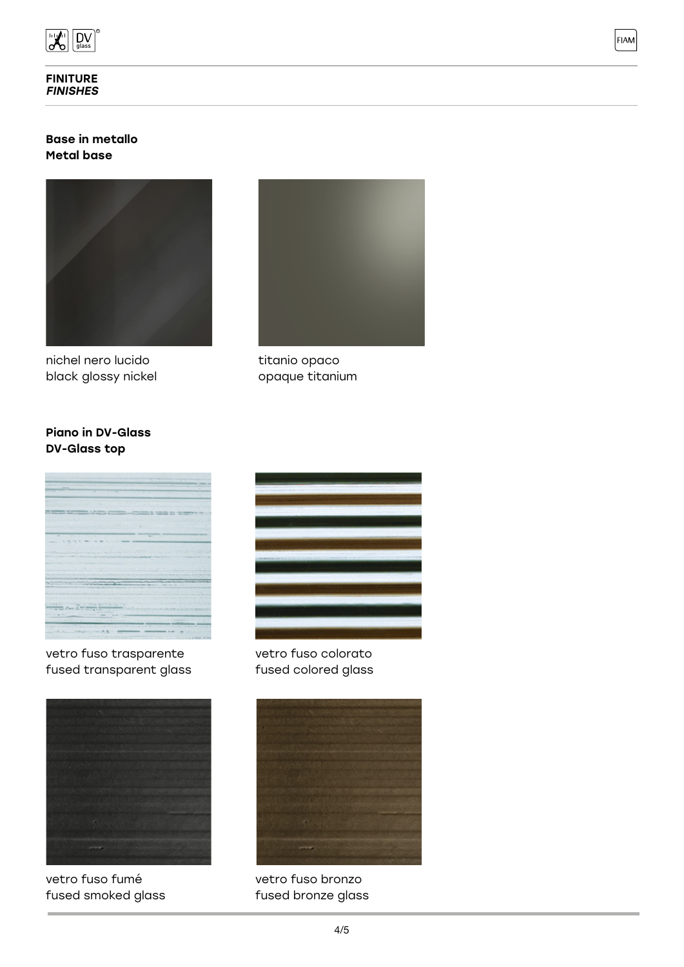

#### FINITURE **FINISHES**

### Base in metallo Metal base



nichel nero lucido black glossy nickel



FIAM

titanio opaco opaque titanium

## Piano in DV-Glass DV-Glass top



vetro fuso trasparente fused transparent glass



vetro fuso fumé fused smoked glass



vetro fuso colorato fused colored glass



vetro fuso bronzo fused bronze glass